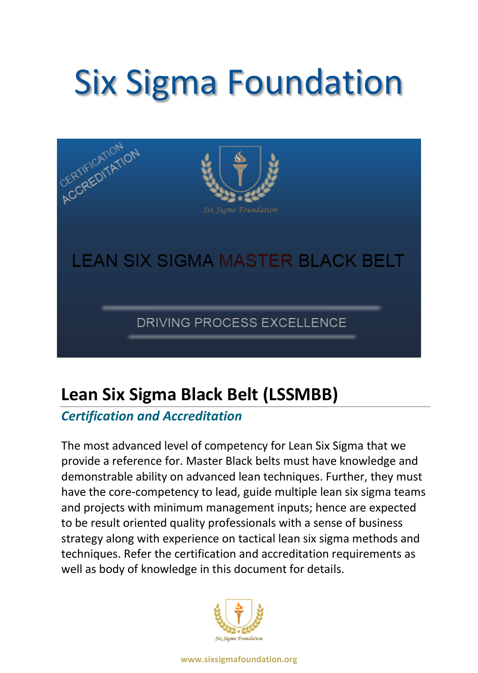# Six Sigma Foundation



# **Lean Six Sigma Black Belt (LSSMBB)**

# *Certification and Accreditation*

The most advanced level of competency for Lean Six Sigma that we provide a reference for. Master Black belts must have knowledge and demonstrable ability on advanced lean techniques. Further, they must have the core-competency to lead, guide multiple lean six sigma teams and projects with minimum management inputs; hence are expected to be result oriented quality professionals with a sense of business strategy along with experience on tactical lean six sigma methods and techniques. Refer the certification and accreditation requirements as well as body of knowledge in this document for details.

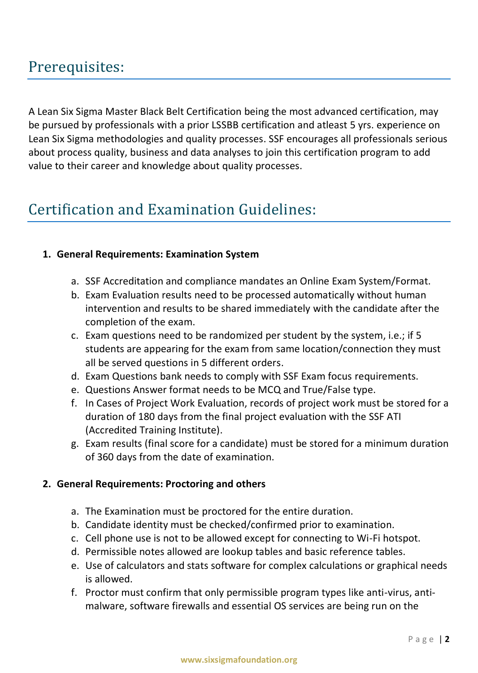# Prerequisites:

A Lean Six Sigma Master Black Belt Certification being the most advanced certification, may be pursued by professionals with a prior LSSBB certification and atleast 5 yrs. experience on Lean Six Sigma methodologies and quality processes. SSF encourages all professionals serious about process quality, business and data analyses to join this certification program to add value to their career and knowledge about quality processes.

# Certification and Examination Guidelines:

## **1. General Requirements: Examination System**

- a. SSF Accreditation and compliance mandates an Online Exam System/Format.
- b. Exam Evaluation results need to be processed automatically without human intervention and results to be shared immediately with the candidate after the completion of the exam.
- c. Exam questions need to be randomized per student by the system, i.e.; if 5 students are appearing for the exam from same location/connection they must all be served questions in 5 different orders.
- d. Exam Questions bank needs to comply with SSF Exam focus requirements.
- e. Questions Answer format needs to be MCQ and True/False type.
- f. In Cases of Project Work Evaluation, records of project work must be stored for a duration of 180 days from the final project evaluation with the SSF ATI (Accredited Training Institute).
- g. Exam results (final score for a candidate) must be stored for a minimum duration of 360 days from the date of examination.

#### **2. General Requirements: Proctoring and others**

- a. The Examination must be proctored for the entire duration.
- b. Candidate identity must be checked/confirmed prior to examination.
- c. Cell phone use is not to be allowed except for connecting to Wi-Fi hotspot.
- d. Permissible notes allowed are lookup tables and basic reference tables.
- e. Use of calculators and stats software for complex calculations or graphical needs is allowed.
- f. Proctor must confirm that only permissible program types like anti-virus, antimalware, software firewalls and essential OS services are being run on the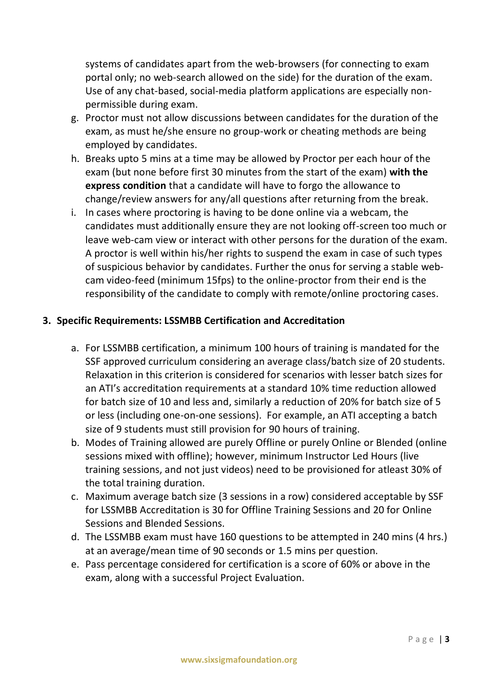systems of candidates apart from the web-browsers (for connecting to exam portal only; no web-search allowed on the side) for the duration of the exam. Use of any chat-based, social-media platform applications are especially nonpermissible during exam.

- g. Proctor must not allow discussions between candidates for the duration of the exam, as must he/she ensure no group-work or cheating methods are being employed by candidates.
- h. Breaks upto 5 mins at a time may be allowed by Proctor per each hour of the exam (but none before first 30 minutes from the start of the exam) **with the express condition** that a candidate will have to forgo the allowance to change/review answers for any/all questions after returning from the break.
- i. In cases where proctoring is having to be done online via a webcam, the candidates must additionally ensure they are not looking off-screen too much or leave web-cam view or interact with other persons for the duration of the exam. A proctor is well within his/her rights to suspend the exam in case of such types of suspicious behavior by candidates. Further the onus for serving a stable webcam video-feed (minimum 15fps) to the online-proctor from their end is the responsibility of the candidate to comply with remote/online proctoring cases.

## **3. Specific Requirements: LSSMBB Certification and Accreditation**

- a. For LSSMBB certification, a minimum 100 hours of training is mandated for the SSF approved curriculum considering an average class/batch size of 20 students. Relaxation in this criterion is considered for scenarios with lesser batch sizes for an ATI's accreditation requirements at a standard 10% time reduction allowed for batch size of 10 and less and, similarly a reduction of 20% for batch size of 5 or less (including one-on-one sessions). For example, an ATI accepting a batch size of 9 students must still provision for 90 hours of training.
- b. Modes of Training allowed are purely Offline or purely Online or Blended (online sessions mixed with offline); however, minimum Instructor Led Hours (live training sessions, and not just videos) need to be provisioned for atleast 30% of the total training duration.
- c. Maximum average batch size (3 sessions in a row) considered acceptable by SSF for LSSMBB Accreditation is 30 for Offline Training Sessions and 20 for Online Sessions and Blended Sessions.
- d. The LSSMBB exam must have 160 questions to be attempted in 240 mins (4 hrs.) at an average/mean time of 90 seconds or 1.5 mins per question.
- e. Pass percentage considered for certification is a score of 60% or above in the exam, along with a successful Project Evaluation.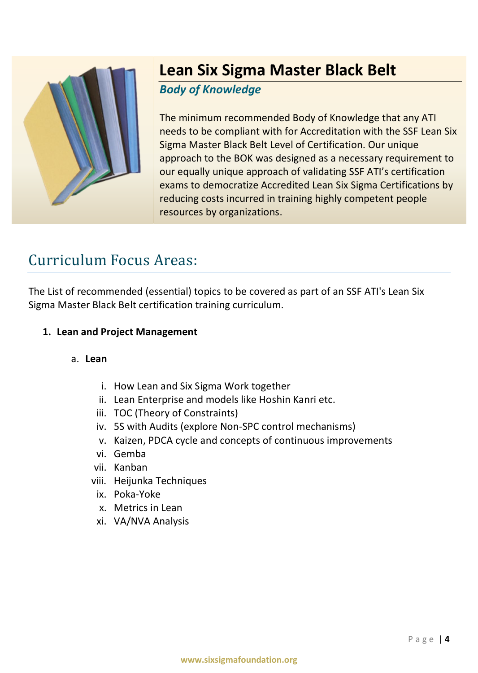

# **Lean Six Sigma Master Black Belt**

## *Body of Knowledge*

The minimum recommended Body of Knowledge that any ATI needs to be compliant with for Accreditation with the SSF Lean Six Sigma Master Black Belt Level of Certification. Our unique approach to the BOK was designed as a necessary requirement to our equally unique approach of validating SSF ATI's certification exams to democratize Accredited Lean Six Sigma Certifications by reducing costs incurred in training highly competent people resources by organizations.

# Curriculum Focus Areas:

The List of recommended (essential) topics to be covered as part of an SSF ATI's Lean Six Sigma Master Black Belt certification training curriculum.

## **1. Lean and Project Management**

## a. **Lean**

- i. How Lean and Six Sigma Work together
- ii. Lean Enterprise and models like Hoshin Kanri etc.
- iii. TOC (Theory of Constraints)
- iv. 5S with Audits (explore Non-SPC control mechanisms)
- v. Kaizen, PDCA cycle and concepts of continuous improvements
- vi. Gemba
- vii. Kanban
- viii. Heijunka Techniques
	- ix. Poka-Yoke
	- x. Metrics in Lean
- xi. VA/NVA Analysis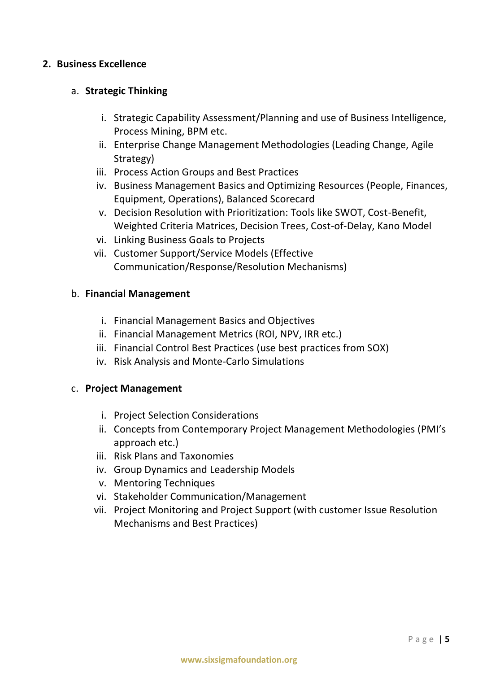#### **2. Business Excellence**

#### a. **Strategic Thinking**

- i. Strategic Capability Assessment/Planning and use of Business Intelligence, Process Mining, BPM etc.
- ii. Enterprise Change Management Methodologies (Leading Change, Agile Strategy)
- iii. Process Action Groups and Best Practices
- iv. Business Management Basics and Optimizing Resources (People, Finances, Equipment, Operations), Balanced Scorecard
- v. Decision Resolution with Prioritization: Tools like SWOT, Cost-Benefit, Weighted Criteria Matrices, Decision Trees, Cost-of-Delay, Kano Model
- vi. Linking Business Goals to Projects
- vii. Customer Support/Service Models (Effective Communication/Response/Resolution Mechanisms)

#### b. **Financial Management**

- i. Financial Management Basics and Objectives
- ii. Financial Management Metrics (ROI, NPV, IRR etc.)
- iii. Financial Control Best Practices (use best practices from SOX)
- iv. Risk Analysis and Monte-Carlo Simulations

#### c. **Project Management**

- i. Project Selection Considerations
- ii. Concepts from Contemporary Project Management Methodologies (PMI's approach etc.)
- iii. Risk Plans and Taxonomies
- iv. Group Dynamics and Leadership Models
- v. Mentoring Techniques
- vi. Stakeholder Communication/Management
- vii. Project Monitoring and Project Support (with customer Issue Resolution Mechanisms and Best Practices)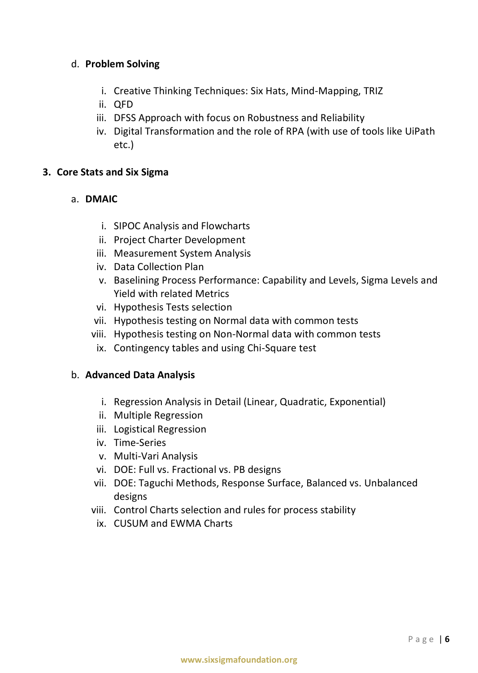#### d. **Problem Solving**

- i. Creative Thinking Techniques: Six Hats, Mind-Mapping, TRIZ
- ii. QFD
- iii. DFSS Approach with focus on Robustness and Reliability
- iv. Digital Transformation and the role of RPA (with use of tools like UiPath etc.)

#### **3. Core Stats and Six Sigma**

#### a. **DMAIC**

- i. SIPOC Analysis and Flowcharts
- ii. Project Charter Development
- iii. Measurement System Analysis
- iv. Data Collection Plan
- v. Baselining Process Performance: Capability and Levels, Sigma Levels and Yield with related Metrics
- vi. Hypothesis Tests selection
- vii. Hypothesis testing on Normal data with common tests
- viii. Hypothesis testing on Non-Normal data with common tests
	- ix. Contingency tables and using Chi-Square test

#### b. **Advanced Data Analysis**

- i. Regression Analysis in Detail (Linear, Quadratic, Exponential)
- ii. Multiple Regression
- iii. Logistical Regression
- iv. Time-Series
- v. Multi-Vari Analysis
- vi. DOE: Full vs. Fractional vs. PB designs
- vii. DOE: Taguchi Methods, Response Surface, Balanced vs. Unbalanced designs
- viii. Control Charts selection and rules for process stability
	- ix. CUSUM and EWMA Charts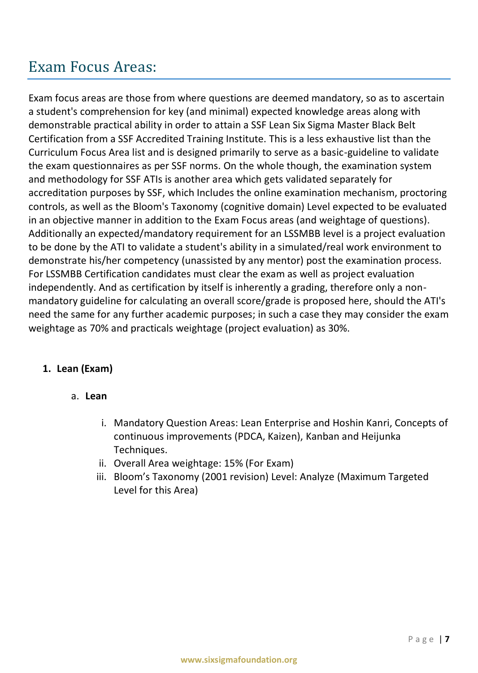# Exam Focus Areas:

Exam focus areas are those from where questions are deemed mandatory, so as to ascertain a student's comprehension for key (and minimal) expected knowledge areas along with demonstrable practical ability in order to attain a SSF Lean Six Sigma Master Black Belt Certification from a SSF Accredited Training Institute. This is a less exhaustive list than the Curriculum Focus Area list and is designed primarily to serve as a basic-guideline to validate the exam questionnaires as per SSF norms. On the whole though, the examination system and methodology for SSF ATIs is another area which gets validated separately for accreditation purposes by SSF, which Includes the online examination mechanism, proctoring controls, as well as the Bloom's Taxonomy (cognitive domain) Level expected to be evaluated in an objective manner in addition to the Exam Focus areas (and weightage of questions). Additionally an expected/mandatory requirement for an LSSMBB level is a project evaluation to be done by the ATI to validate a student's ability in a simulated/real work environment to demonstrate his/her competency (unassisted by any mentor) post the examination process. For LSSMBB Certification candidates must clear the exam as well as project evaluation independently. And as certification by itself is inherently a grading, therefore only a nonmandatory guideline for calculating an overall score/grade is proposed here, should the ATI's need the same for any further academic purposes; in such a case they may consider the exam weightage as 70% and practicals weightage (project evaluation) as 30%.

## **1. Lean (Exam)**

- a. **Lean**
	- i. Mandatory Question Areas: Lean Enterprise and Hoshin Kanri, Concepts of continuous improvements (PDCA, Kaizen), Kanban and Heijunka Techniques.
	- ii. Overall Area weightage: 15% (For Exam)
	- iii. Bloom's Taxonomy (2001 revision) Level: Analyze (Maximum Targeted Level for this Area)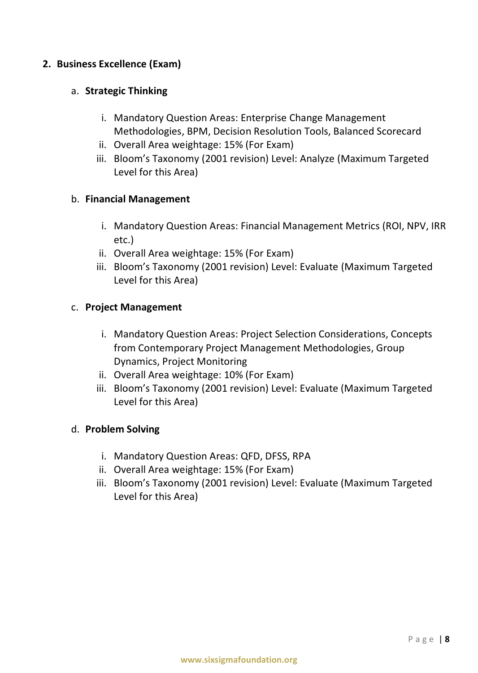#### **2. Business Excellence (Exam)**

#### a. **Strategic Thinking**

- i. Mandatory Question Areas: Enterprise Change Management Methodologies, BPM, Decision Resolution Tools, Balanced Scorecard
- ii. Overall Area weightage: 15% (For Exam)
- iii. Bloom's Taxonomy (2001 revision) Level: Analyze (Maximum Targeted Level for this Area)

#### b. **Financial Management**

- i. Mandatory Question Areas: Financial Management Metrics (ROI, NPV, IRR etc.)
- ii. Overall Area weightage: 15% (For Exam)
- iii. Bloom's Taxonomy (2001 revision) Level: Evaluate (Maximum Targeted Level for this Area)

#### c. **Project Management**

- i. Mandatory Question Areas: Project Selection Considerations, Concepts from Contemporary Project Management Methodologies, Group Dynamics, Project Monitoring
- ii. Overall Area weightage: 10% (For Exam)
- iii. Bloom's Taxonomy (2001 revision) Level: Evaluate (Maximum Targeted Level for this Area)

#### d. **Problem Solving**

- i. Mandatory Question Areas: QFD, DFSS, RPA
- ii. Overall Area weightage: 15% (For Exam)
- iii. Bloom's Taxonomy (2001 revision) Level: Evaluate (Maximum Targeted Level for this Area)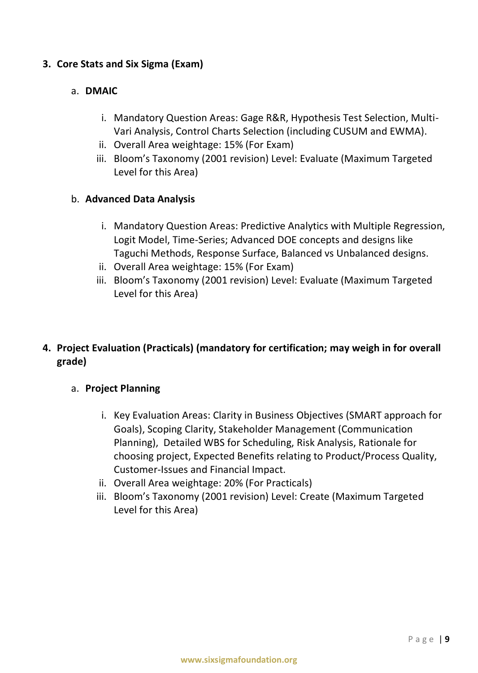#### **3. Core Stats and Six Sigma (Exam)**

#### a. **DMAIC**

- i. Mandatory Question Areas: Gage R&R, Hypothesis Test Selection, Multi-Vari Analysis, Control Charts Selection (including CUSUM and EWMA).
- ii. Overall Area weightage: 15% (For Exam)
- iii. Bloom's Taxonomy (2001 revision) Level: Evaluate (Maximum Targeted Level for this Area)

#### b. **Advanced Data Analysis**

- i. Mandatory Question Areas: Predictive Analytics with Multiple Regression, Logit Model, Time-Series; Advanced DOE concepts and designs like Taguchi Methods, Response Surface, Balanced vs Unbalanced designs.
- ii. Overall Area weightage: 15% (For Exam)
- iii. Bloom's Taxonomy (2001 revision) Level: Evaluate (Maximum Targeted Level for this Area)

## **4. Project Evaluation (Practicals) (mandatory for certification; may weigh in for overall grade)**

## a. **Project Planning**

- i. Key Evaluation Areas: Clarity in Business Objectives (SMART approach for Goals), Scoping Clarity, Stakeholder Management (Communication Planning), Detailed WBS for Scheduling, Risk Analysis, Rationale for choosing project, Expected Benefits relating to Product/Process Quality, Customer-Issues and Financial Impact.
- ii. Overall Area weightage: 20% (For Practicals)
- iii. Bloom's Taxonomy (2001 revision) Level: Create (Maximum Targeted Level for this Area)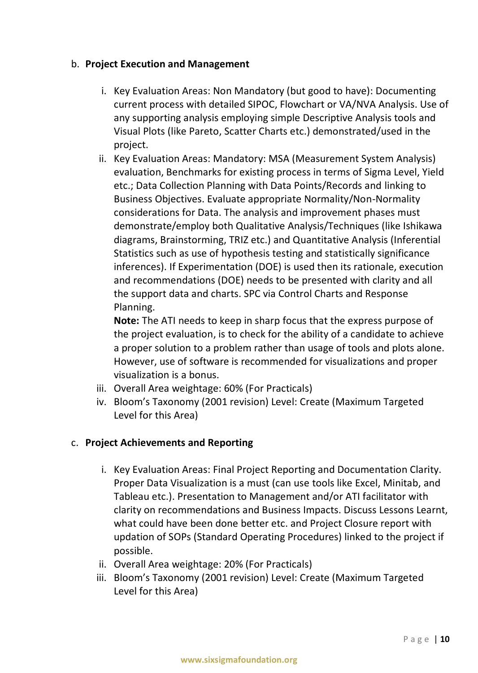#### b. **Project Execution and Management**

- i. Key Evaluation Areas: Non Mandatory (but good to have): Documenting current process with detailed SIPOC, Flowchart or VA/NVA Analysis. Use of any supporting analysis employing simple Descriptive Analysis tools and Visual Plots (like Pareto, Scatter Charts etc.) demonstrated/used in the project.
- ii. Key Evaluation Areas: Mandatory: MSA (Measurement System Analysis) evaluation, Benchmarks for existing process in terms of Sigma Level, Yield etc.; Data Collection Planning with Data Points/Records and linking to Business Objectives. Evaluate appropriate Normality/Non-Normality considerations for Data. The analysis and improvement phases must demonstrate/employ both Qualitative Analysis/Techniques (like Ishikawa diagrams, Brainstorming, TRIZ etc.) and Quantitative Analysis (Inferential Statistics such as use of hypothesis testing and statistically significance inferences). If Experimentation (DOE) is used then its rationale, execution and recommendations (DOE) needs to be presented with clarity and all the support data and charts. SPC via Control Charts and Response Planning.

**Note:** The ATI needs to keep in sharp focus that the express purpose of the project evaluation, is to check for the ability of a candidate to achieve a proper solution to a problem rather than usage of tools and plots alone. However, use of software is recommended for visualizations and proper visualization is a bonus.

- iii. Overall Area weightage: 60% (For Practicals)
- iv. Bloom's Taxonomy (2001 revision) Level: Create (Maximum Targeted Level for this Area)

## c. **Project Achievements and Reporting**

- i. Key Evaluation Areas: Final Project Reporting and Documentation Clarity. Proper Data Visualization is a must (can use tools like Excel, Minitab, and Tableau etc.). Presentation to Management and/or ATI facilitator with clarity on recommendations and Business Impacts. Discuss Lessons Learnt, what could have been done better etc. and Project Closure report with updation of SOPs (Standard Operating Procedures) linked to the project if possible.
- ii. Overall Area weightage: 20% (For Practicals)
- iii. Bloom's Taxonomy (2001 revision) Level: Create (Maximum Targeted Level for this Area)